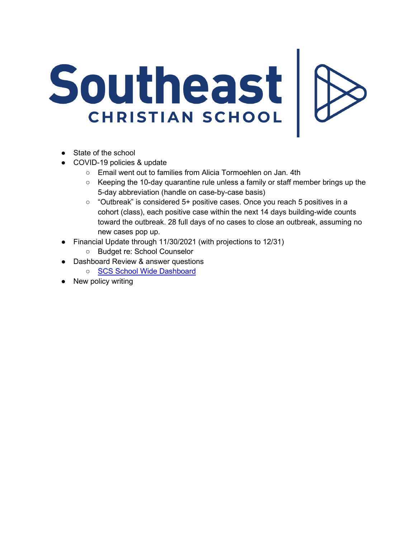## Southeast

- State of the school
- COVID-19 policies & update
	- Email went out to families from Alicia Tormoehlen on Jan. 4th
	- $\circ$  Keeping the 10-day quarantine rule unless a family or staff member brings up the 5-day abbreviation (handle on case-by-case basis)
	- "Outbreak" is considered 5+ positive cases. Once you reach 5 positives in a cohort (class), each positive case within the next 14 days building-wide counts toward the outbreak. 28 full days of no cases to close an outbreak, assuming no new cases pop up.
- Financial Update through 11/30/2021 (with projections to 12/31)
	- Budget re: School Counselor
- Dashboard Review & answer questions
	- SCS School Wide Dashboard
- New policy writing